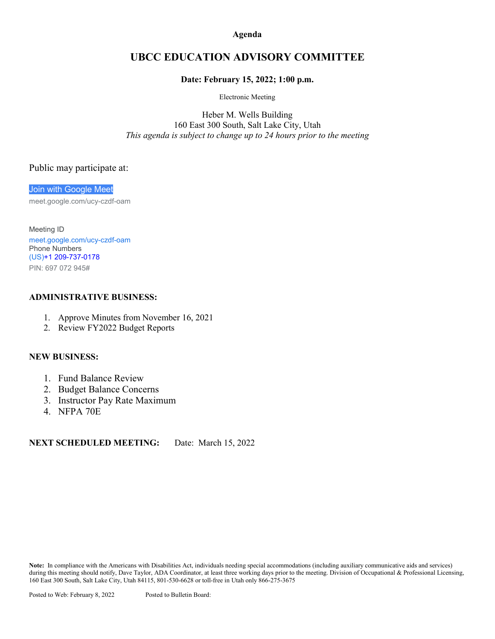#### **Agenda**

## **UBCC EDUCATION ADVISORY COMMITTEE**

#### **Date: February 15, 2022; 1:00 p.m.**

Electronic Meeting

Heber M. Wells Building 160 East 300 South, Salt Lake City, Utah *This agenda is subject to change up to 24 hours prior to the meeting*

#### Public may participate at:

[Join with Google Meet](https://meet.google.com/ucy-czdf-oam?hs=122&authuser=0)

meet.google.com/ucy-czdf-oam

Meeting ID [meet.google.com/ucy-czdf-oam](https://meet.google.com/ucy-czdf-oam?hs=122&authuser=0) Phone Numbers (US)+1 [209-737-0178](tel:%E2%80%AA+1%20209-737-0178%E2%80%AC) PIN: 697 072 945#

#### **ADMINISTRATIVE BUSINESS:**

- 1. Approve Minutes from November 16, 2021
- 2. Review FY2022 Budget Reports

#### **NEW BUSINESS:**

- 1. Fund Balance Review
- 2. Budget Balance Concerns
- 3. Instructor Pay Rate Maximum
- 4. NFPA 70E

### **NEXT SCHEDULED MEETING:** Date: March 15, 2022

**Note:** In compliance with the Americans with Disabilities Act, individuals needing special accommodations (including auxiliary communicative aids and services) during this meeting should notify, Dave Taylor, ADA Coordinator, at least three working days prior to the meeting. Division of Occupational & Professional Licensing, 160 East 300 South, Salt Lake City, Utah 84115, 801-530-6628 or toll-free in Utah only 866-275-3675